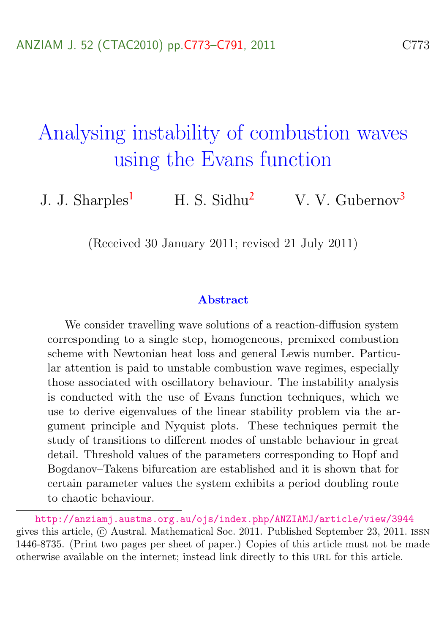# <span id="page-0-0"></span>Analysing instability of combustion waves using the Evans function

J. J. Sharples<sup>[1](#page-18-1)</sup> H. S. Sidhu<sup>[2](#page-18-2)</sup> V. V. Gubernov<sup>[3](#page-18-0)</sup>

(Received 30 January 2011; revised 21 July 2011)

#### Abstract

We consider travelling wave solutions of a reaction-diffusion system corresponding to a single step, homogeneous, premixed combustion scheme with Newtonian heat loss and general Lewis number. Particular attention is paid to unstable combustion wave regimes, especially those associated with oscillatory behaviour. The instability analysis is conducted with the use of Evans function techniques, which we use to derive eigenvalues of the linear stability problem via the argument principle and Nyquist plots. These techniques permit the study of transitions to different modes of unstable behaviour in great detail. Threshold values of the parameters corresponding to Hopf and Bogdanov–Takens bifurcation are established and it is shown that for certain parameter values the system exhibits a period doubling route to chaotic behaviour.

<http://anziamj.austms.org.au/ojs/index.php/ANZIAMJ/article/view/3944> gives this article, c Austral. Mathematical Soc. 2011. Published September 23, 2011. issn 1446-8735. (Print two pages per sheet of paper.) Copies of this article must not be made otherwise available on the internet; instead link directly to this url for this article.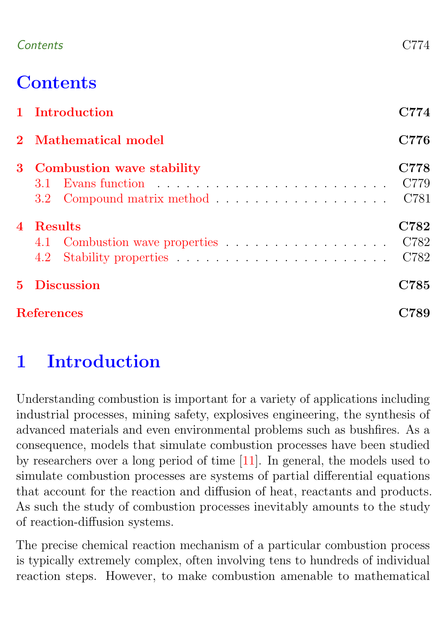### <span id="page-1-1"></span>Contents C774

# **Contents**

|                | 1 Introduction              | '74                  |
|----------------|-----------------------------|----------------------|
|                | 2 Mathematical model        | C776                 |
|                | 3 Combustion wave stability | C778<br>C779         |
| $\overline{4}$ | <b>Results</b>              | C782<br>C782<br>C782 |
|                | 5 Discussion                | C785                 |
|                | <b>References</b>           | C789                 |

# <span id="page-1-0"></span>1 Introduction

Understanding combustion is important for a variety of applications including industrial processes, mining safety, explosives engineering, the synthesis of advanced materials and even environmental problems such as bushfires. As a consequence, models that simulate combustion processes have been studied by researchers over a long period of time [\[11\]](#page-17-0). In general, the models used to simulate combustion processes are systems of partial differential equations that account for the reaction and diffusion of heat, reactants and products. As such the study of combustion processes inevitably amounts to the study of reaction-diffusion systems.

The precise chemical reaction mechanism of a particular combustion process is typically extremely complex, often involving tens to hundreds of individual reaction steps. However, to make combustion amenable to mathematical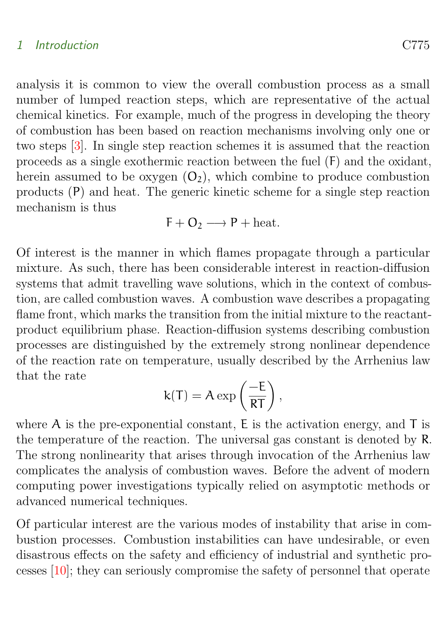#### <span id="page-2-0"></span>1 Introduction C775

analysis it is common to view the overall combustion process as a small number of lumped reaction steps, which are representative of the actual chemical kinetics. For example, much of the progress in developing the theory of combustion has been based on reaction mechanisms involving only one or two steps [\[3\]](#page-16-1). In single step reaction schemes it is assumed that the reaction proceeds as a single exothermic reaction between the fuel (F) and the oxidant, herein assumed to be oxygen  $(O_2)$ , which combine to produce combustion products (P) and heat. The generic kinetic scheme for a single step reaction mechanism is thus

$$
F + O_2 \longrightarrow P + \text{heat}.
$$

Of interest is the manner in which flames propagate through a particular mixture. As such, there has been considerable interest in reaction-diffusion systems that admit travelling wave solutions, which in the context of combustion, are called combustion waves. A combustion wave describes a propagating flame front, which marks the transition from the initial mixture to the reactantproduct equilibrium phase. Reaction-diffusion systems describing combustion processes are distinguished by the extremely strong nonlinear dependence of the reaction rate on temperature, usually described by the Arrhenius law that the rate

$$
k(T) = A \exp\left(\frac{-E}{RT}\right),
$$

where  $A$  is the pre-exponential constant,  $E$  is the activation energy, and  $T$  is the temperature of the reaction. The universal gas constant is denoted by R. The strong nonlinearity that arises through invocation of the Arrhenius law complicates the analysis of combustion waves. Before the advent of modern computing power investigations typically relied on asymptotic methods or advanced numerical techniques.

Of particular interest are the various modes of instability that arise in combustion processes. Combustion instabilities can have undesirable, or even disastrous effects on the safety and efficiency of industrial and synthetic processes [\[10\]](#page-17-1); they can seriously compromise the safety of personnel that operate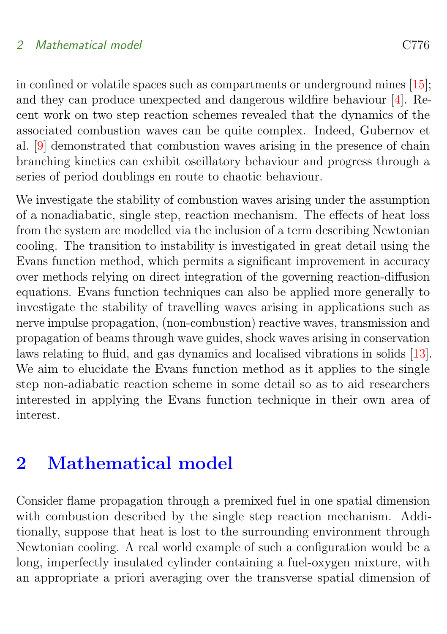#### <span id="page-3-1"></span>2 Mathematical model C776

in confined or volatile spaces such as compartments or underground mines [\[15\]](#page-17-2); and they can produce unexpected and dangerous wildfire behaviour [\[4\]](#page-16-2). Recent work on two step reaction schemes revealed that the dynamics of the associated combustion waves can be quite complex. Indeed, Gubernov et al. [\[9\]](#page-16-3) demonstrated that combustion waves arising in the presence of chain branching kinetics can exhibit oscillatory behaviour and progress through a series of period doublings en route to chaotic behaviour.

We investigate the stability of combustion waves arising under the assumption of a nonadiabatic, single step, reaction mechanism. The effects of heat loss from the system are modelled via the inclusion of a term describing Newtonian cooling. The transition to instability is investigated in great detail using the Evans function method, which permits a significant improvement in accuracy over methods relying on direct integration of the governing reaction-diffusion equations. Evans function techniques can also be applied more generally to investigate the stability of travelling waves arising in applications such as nerve impulse propagation, (non-combustion) reactive waves, transmission and propagation of beams through wave guides, shock waves arising in conservation laws relating to fluid, and gas dynamics and localised vibrations in solids [\[13\]](#page-17-3). We aim to elucidate the Evans function method as it applies to the single step non-adiabatic reaction scheme in some detail so as to aid researchers interested in applying the Evans function technique in their own area of interest.

# <span id="page-3-0"></span>2 Mathematical model

Consider flame propagation through a premixed fuel in one spatial dimension with combustion described by the single step reaction mechanism. Additionally, suppose that heat is lost to the surrounding environment through Newtonian cooling. A real world example of such a configuration would be a long, imperfectly insulated cylinder containing a fuel-oxygen mixture, with an appropriate a priori averaging over the transverse spatial dimension of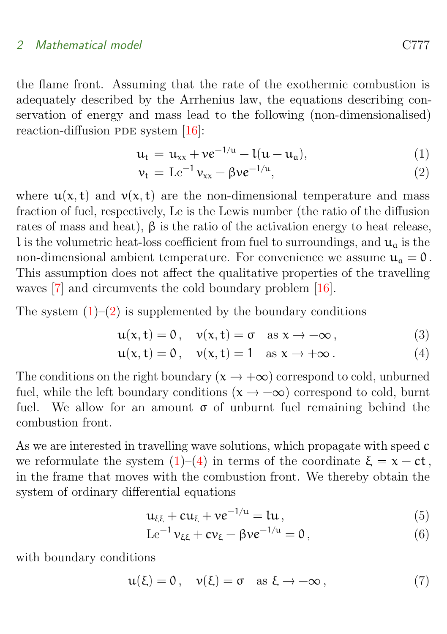#### <span id="page-4-0"></span>2 Mathematical model C<sub>777</sub>

the flame front. Assuming that the rate of the exothermic combustion is adequately described by the Arrhenius law, the equations describing conservation of energy and mass lead to the following (non-dimensionalised) reaction-diffusion PDE system  $[16]$ :

$$
u_t = u_{xx} + v e^{-1/u} - l(u - u_a), \tag{1}
$$

$$
\nu_{t} = Le^{-1} \nu_{xx} - \beta \nu e^{-1/u}, \qquad (2)
$$

where  $u(x, t)$  and  $v(x, t)$  are the non-dimensional temperature and mass fraction of fuel, respectively, Le is the Lewis number (the ratio of the diffusion rates of mass and heat),  $\beta$  is the ratio of the activation energy to heat release, l is the volumetric heat-loss coefficient from fuel to surroundings, and  $\mathfrak{u}_0$  is the non-dimensional ambient temperature. For convenience we assume  $u_a = 0$ . This assumption does not affect the qualitative properties of the travelling waves [\[7\]](#page-16-4) and circumvents the cold boundary problem [\[16\]](#page-17-4).

The system  $(1)$ – $(2)$  is supplemented by the boundary conditions

$$
\mathbf{u}(\mathbf{x}, \mathbf{t}) = \mathbf{0}, \quad \mathbf{v}(\mathbf{x}, \mathbf{t}) = \mathbf{\sigma} \quad \text{as } \mathbf{x} \to -\infty,
$$
 (3)

$$
u(x, t) = 0, \quad v(x, t) = 1 \quad \text{as } x \to +\infty \,. \tag{4}
$$

The conditions on the right boundary  $(x \rightarrow +\infty)$  correspond to cold, unburned fuel, while the left boundary conditions ( $x \rightarrow -\infty$ ) correspond to cold, burnt fuel. We allow for an amount  $\sigma$  of unburnt fuel remaining behind the combustion front.

As we are interested in travelling wave solutions, which propagate with speed c we reformulate the system  $(1)–(4)$  $(1)–(4)$  $(1)–(4)$  in terms of the coordinate  $\xi = x - ct$ , in the frame that moves with the combustion front. We thereby obtain the system of ordinary differential equations

$$
\mathfrak{u}_{\xi\xi} + c\mathfrak{u}_{\xi} + v e^{-1/u} = l\mathfrak{u}\,,\tag{5}
$$

$$
\mathrm{Le}^{-1}v_{\xi\xi} + cv_{\xi} - \beta ve^{-1/u} = 0, \qquad (6)
$$

with boundary conditions

$$
\mathfrak{u}(\xi) = 0, \quad \mathfrak{v}(\xi) = \sigma \quad \text{as } \xi \to -\infty \,, \tag{7}
$$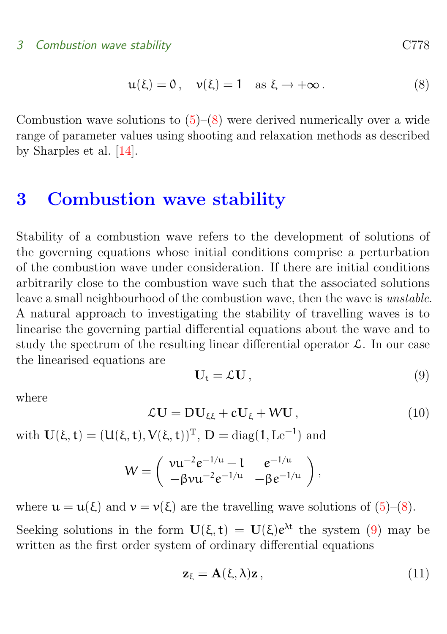$$
\mathfrak{u}(\xi) = 0, \quad \mathfrak{v}(\xi) = 1 \quad \text{as } \xi \to +\infty \,. \tag{8}
$$

<span id="page-5-3"></span>Combustion wave solutions to  $(5)-(8)$  $(5)-(8)$  $(5)-(8)$  were derived numerically over a wide range of parameter values using shooting and relaxation methods as described by Sharples et al. [\[14\]](#page-17-5).

# <span id="page-5-0"></span>3 Combustion wave stability

Stability of a combustion wave refers to the development of solutions of the governing equations whose initial conditions comprise a perturbation of the combustion wave under consideration. If there are initial conditions arbitrarily close to the combustion wave such that the associated solutions leave a small neighbourhood of the combustion wave, then the wave is unstable. A natural approach to investigating the stability of travelling waves is to linearise the governing partial differential equations about the wave and to study the spectrum of the resulting linear differential operator  $\mathcal{L}$ . In our case the linearised equations are

<span id="page-5-1"></span>
$$
\mathbf{U}_{t} = \mathcal{L}\mathbf{U},\tag{9}
$$

where

$$
\mathcal{L}U = DU_{\xi\xi} + cU_{\xi} + WU, \qquad (10)
$$

with  $U(\xi, t) = (U(\xi, t), V(\xi, t))^T$ ,  $D = diag(1, Le^{-1})$  and

$$
W = \begin{pmatrix} vu^{-2}e^{-1/u} - 1 & e^{-1/u} \\ -\beta vu^{-2}e^{-1/u} & -\beta e^{-1/u} \end{pmatrix},
$$

where  $u = u(\xi)$  and  $v = v(\xi)$  are the travelling wave solutions of [\(5\)](#page-3-0)–[\(8\)](#page-3-0). Seeking solutions in the form  $U(\xi, t) = U(\xi)e^{\lambda t}$  the system [\(9\)](#page-5-1) may be written as the first order system of ordinary differential equations

<span id="page-5-2"></span>
$$
\mathbf{z}_{\xi} = \mathbf{A}(\xi, \lambda)\mathbf{z} \,, \tag{11}
$$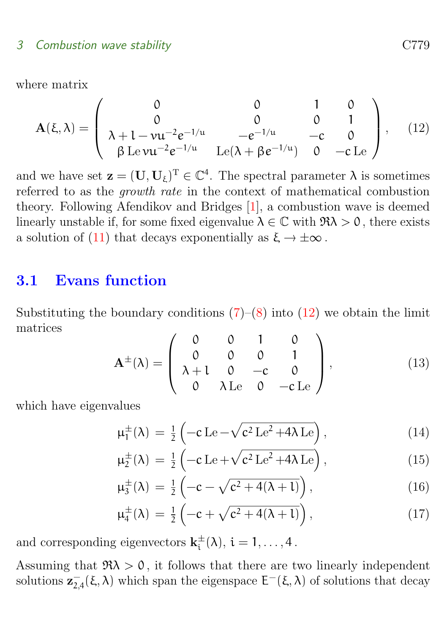<span id="page-6-2"></span>where matrix

<span id="page-6-1"></span>
$$
\mathbf{A}(\xi,\lambda) = \begin{pmatrix} 0 & 0 & 1 & 0 \\ 0 & 0 & 0 & 1 \\ \lambda + 1 - \nu \mu^{-2} e^{-1/\mu} & -e^{-1/\mu} & -c & 0 \\ \beta \operatorname{Le} \nu \mu^{-2} e^{-1/\mu} & \operatorname{Le}(\lambda + \beta e^{-1/\mu}) & 0 & -c \operatorname{Le} \end{pmatrix}, \quad (12)
$$

and we have set  $\mathbf{z} = (\mathbf{U}, \mathbf{U}_{\xi})^{\mathrm{T}} \in \mathbb{C}^{4}$ . The spectral parameter  $\lambda$  is sometimes referred to as the growth rate in the context of mathematical combustion theory. Following Afendikov and Bridges [\[1\]](#page-16-5), a combustion wave is deemed linearly unstable if, for some fixed eigenvalue  $\lambda \in \mathbb{C}$  with  $\Re \lambda > 0$ , there exists a solution of [\(11\)](#page-5-2) that decays exponentially as  $\xi \to \pm \infty$ .

### <span id="page-6-0"></span>3.1 Evans function

Substituting the boundary conditions  $(7)-(8)$  $(7)-(8)$  $(7)-(8)$  into  $(12)$  we obtain the limit matrices

$$
\mathbf{A}^{\pm}(\lambda) = \begin{pmatrix} 0 & 0 & 1 & 0 \\ 0 & 0 & 0 & 1 \\ \lambda + 1 & 0 & -c & 0 \\ 0 & \lambda \text{Le} & 0 & -c \text{Le} \end{pmatrix}, \quad (13)
$$

which have eigenvalues

$$
\mu_1^{\pm}(\lambda) = \frac{1}{2} \left( -c \operatorname{Le} - \sqrt{c^2 \operatorname{Le}^2 + 4\lambda \operatorname{Le}} \right),\tag{14}
$$

$$
\mu_2^{\pm}(\lambda) = \frac{1}{2} \left( -c \operatorname{Le} + \sqrt{c^2 \operatorname{Le}^2 + 4\lambda \operatorname{Le}} \right),\tag{15}
$$

$$
\mu_3^{\pm}(\lambda) = \frac{1}{2} \left( -c - \sqrt{c^2 + 4(\lambda + 1)} \right),\tag{16}
$$

$$
\mu_4^{\pm}(\lambda) = \frac{1}{2} \left( -c + \sqrt{c^2 + 4(\lambda + 1)} \right),\tag{17}
$$

and corresponding eigenvectors  $\mathbf{k}^{\pm}_{i}$  $i^{\pm}(\lambda), i = 1, \ldots, 4$ .

Assuming that  $\Re\lambda > 0$ , it follows that there are two linearly independent solutions  $\mathbf{z}_2^ ^{-}_{2,4}$ (ξ,λ) which span the eigenspace E<sup>−</sup>(ξ,λ) of solutions that decay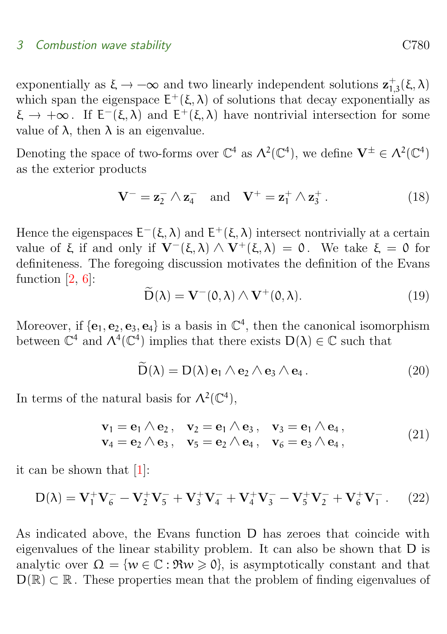#### <span id="page-7-2"></span>3 Combustion wave stability C780

exponentially as  $\xi \to -\infty$  and two linearly independent solutions  $z_{1}^{+}$ , which are the eigenences  $F^{+}(\xi, \lambda)$  of solutions that decay emergentially  $^+_{1,3}(\xi,\lambda)$ which span the eigenspace  $E^+(\xi, \lambda)$  of solutions that decay exponentially as  $\xi \to +\infty$ . If  $E^{-}(\xi, \lambda)$  and  $E^{+}(\xi, \lambda)$  have nontrivial intersection for some<br>scale of  $\lambda$  than  $\lambda$  is an eigenvalue. value of  $λ$ , then  $λ$  is an eigenvalue.

Denoting the space of two-forms over  $\mathbb{C}^4$  as  $\Lambda^2(\mathbb{C}^4)$ , we define  $V^{\pm} \in \Lambda^2(\mathbb{C}^4)$ as the exterior products

<span id="page-7-0"></span>
$$
\mathbf{V}^- = \mathbf{z}_2^- \wedge \mathbf{z}_4^- \quad \text{and} \quad \mathbf{V}^+ = \mathbf{z}_1^+ \wedge \mathbf{z}_3^+ \,. \tag{18}
$$

Hence the eigenspaces  $E^{-}(\xi, \lambda)$  and  $E^{+}(\xi, \lambda)$  intersect nontrivially at a certain value of  $\xi$  if and only if  $V^-(\xi, \lambda) \wedge V^+(\xi, \lambda) = 0$ . We take  $\xi = 0$  for definiteness. The foregoing discussion motivates the definition of the Evans function [\[2,](#page-16-6) [6\]](#page-16-7):

$$
\widetilde{\mathbf{D}}(\lambda) = \mathbf{V}^-(0, \lambda) \wedge \mathbf{V}^+(\mathbf{0}, \lambda).
$$
 (19)

Moreover, if  $\{e_1, e_2, e_3, e_4\}$  is a basis in  $\mathbb{C}^4$ , then the canonical isomorphism between  $\mathbb{C}^4$  and  $\Lambda^4(\mathbb{C}^4)$  implies that there exists  $D(\lambda) \in \mathbb{C}$  such that

$$
\widetilde{D}(\lambda) = D(\lambda) e_1 \wedge e_2 \wedge e_3 \wedge e_4. \qquad (20)
$$

In terms of the natural basis for  $\Lambda^2(\mathbb{C}^4)$ ,

$$
\begin{aligned}\n\mathbf{v}_1 &= \mathbf{e}_1 \wedge \mathbf{e}_2, & \mathbf{v}_2 &= \mathbf{e}_1 \wedge \mathbf{e}_3, & \mathbf{v}_3 &= \mathbf{e}_1 \wedge \mathbf{e}_4, \\
\mathbf{v}_4 &= \mathbf{e}_2 \wedge \mathbf{e}_3, & \mathbf{v}_5 &= \mathbf{e}_2 \wedge \mathbf{e}_4, & \mathbf{v}_6 &= \mathbf{e}_3 \wedge \mathbf{e}_4,\n\end{aligned}\n\tag{21}
$$

it can be shown that [\[1\]](#page-16-5):

<span id="page-7-1"></span>
$$
D(\lambda) = \mathbf{V}_1^+ \mathbf{V}_6^- - \mathbf{V}_2^+ \mathbf{V}_5^- + \mathbf{V}_3^+ \mathbf{V}_4^- + \mathbf{V}_4^+ \mathbf{V}_3^- - \mathbf{V}_5^+ \mathbf{V}_2^- + \mathbf{V}_6^+ \mathbf{V}_1^-.
$$
 (22)

As indicated above, the Evans function D has zeroes that coincide with eigenvalues of the linear stability problem. It can also be shown that D is analytic over  $\Omega = \{w \in \mathbb{C} : \Re w \geq 0\}$ , is asymptotically constant and that  $D(\mathbb{R}) \subset \mathbb{R}$ . These properties mean that the problem of finding eigenvalues of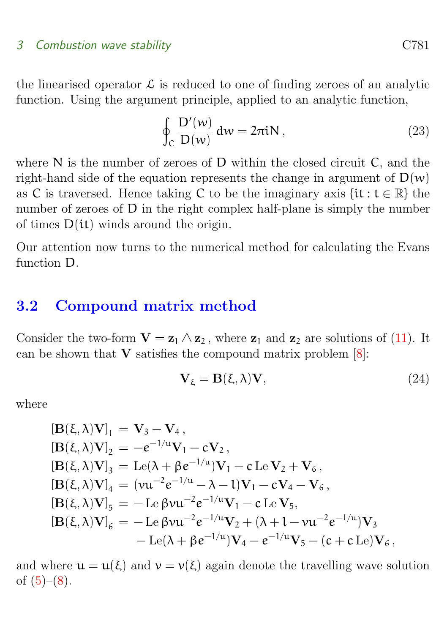#### <span id="page-8-2"></span>3 Combustion wave stability C781

the linearised operator  $\mathcal L$  is reduced to one of finding zeroes of an analytic function. Using the argument principle, applied to an analytic function,

$$
\oint_{C} \frac{D'(w)}{D(w)} dw = 2\pi i N , \qquad (23)
$$

where  $N$  is the number of zeroes of  $D$  within the closed circuit  $C$ , and the right-hand side of the equation represents the change in argument of  $D(w)$ as C is traversed. Hence taking C to be the imaginary axis  $\{it : t \in \mathbb{R}\}\)$  the number of zeroes of D in the right complex half-plane is simply the number of times D(it) winds around the origin.

Our attention now turns to the numerical method for calculating the Evans function D.

### <span id="page-8-0"></span>3.2 Compound matrix method

Consider the two-form  $\mathbf{V} = \mathbf{z}_1 \wedge \mathbf{z}_2$ , where  $\mathbf{z}_1$  and  $\mathbf{z}_2$  are solutions of [\(11\)](#page-5-2). It can be shown that  $V$  satisfies the compound matrix problem  $[8]$ :

<span id="page-8-1"></span>
$$
\mathbf{V}_{\xi} = \mathbf{B}(\xi, \lambda)\mathbf{V},\tag{24}
$$

where

$$
[B(\xi,\lambda)V]_1 = V_3 - V_4,
$$
  
\n
$$
[B(\xi,\lambda)V]_2 = -e^{-1/u}V_1 - cV_2,
$$
  
\n
$$
[B(\xi,\lambda)V]_3 = \text{Le}(\lambda + \beta e^{-1/u})V_1 - c \text{ Le } V_2 + V_6,
$$
  
\n
$$
[B(\xi,\lambda)V]_4 = (vu^{-2}e^{-1/u} - \lambda - 1)V_1 - cV_4 - V_6,
$$
  
\n
$$
[B(\xi,\lambda)V]_5 = -\text{Le } \beta vu^{-2}e^{-1/u}V_1 - c \text{ Le } V_5,
$$
  
\n
$$
[B(\xi,\lambda)V]_6 = -\text{Le } \beta vu^{-2}e^{-1/u}V_2 + (\lambda + 1 - vu^{-2}e^{-1/u})V_3
$$
  
\n
$$
-\text{Le}(\lambda + \beta e^{-1/u})V_4 - e^{-1/u}V_5 - (c + c \text{ Le})V_6,
$$

and where  $u = u(\xi)$  and  $v = v(\xi)$  again denote the travelling wave solution of  $(5)-(8)$  $(5)-(8)$  $(5)-(8)$ .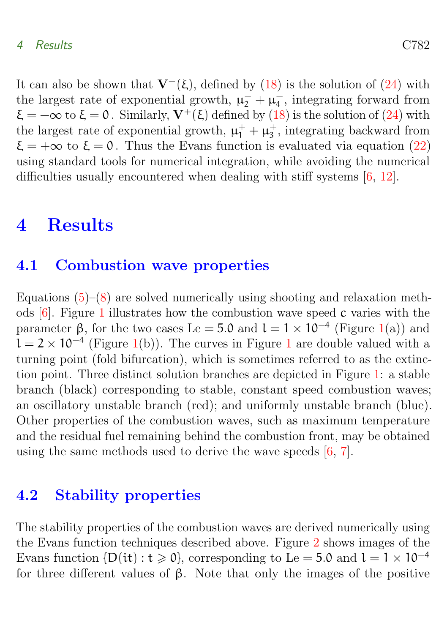#### <span id="page-9-3"></span>4 Results C782

It can also be shown that  $V^-(\xi)$ , defined by [\(18\)](#page-7-0) is the solution of [\(24\)](#page-8-1) with the largest rate of exponential growth,  $\mu_2^- + \mu_4^-$ 4 , integrating forward from  $\xi = -\infty$  to  $\xi = 0$ . Similarly,  $V^+(\xi)$  defined by [\(18\)](#page-7-0) is the solution of [\(24\)](#page-8-1) with the largest rate of exponential growth,  $\mu_1^+ + \mu_3^+$ 3 , integrating backward from  $\xi = +\infty$  to  $\xi = 0$ . Thus the Evans function is evaluated via equation [\(22\)](#page-7-1) using standard tools for numerical integration, while avoiding the numerical difficulties usually encountered when dealing with stiff systems [\[6,](#page-16-7) [12\]](#page-17-6).

# <span id="page-9-0"></span>4 Results

### <span id="page-9-1"></span>4.1 Combustion wave properties

Equations  $(5)-(8)$  $(5)-(8)$  $(5)-(8)$  are solved numerically using shooting and relaxation methods [\[6\]](#page-16-7). Figure [1](#page-10-0) illustrates how the combustion wave speed c varies with the parameter  $\beta$ , for the two cases Le = 5.0 and l = 1 × 10<sup>-4</sup> (Figure [1\(](#page-10-0)a)) and  $l = 2 \times 10^{-4}$  $l = 2 \times 10^{-4}$  $l = 2 \times 10^{-4}$  (Figure [1\(](#page-10-0)b)). The curves in Figure 1 are double valued with a turning point (fold bifurcation), which is sometimes referred to as the extinction point. Three distinct solution branches are depicted in Figure [1:](#page-10-0) a stable branch (black) corresponding to stable, constant speed combustion waves; an oscillatory unstable branch (red); and uniformly unstable branch (blue). Other properties of the combustion waves, such as maximum temperature and the residual fuel remaining behind the combustion front, may be obtained using the same methods used to derive the wave speeds [\[6,](#page-16-7) [7\]](#page-16-4).

## <span id="page-9-2"></span>4.2 Stability properties

The stability properties of the combustion waves are derived numerically using the Evans function techniques described above. Figure [2](#page-11-0) shows images of the Evans function  $\{D(it): t \ge 0\}$ , corresponding to Le = 5.0 and l = 1 × 10<sup>-4</sup> for three different values of β. Note that only the images of the positive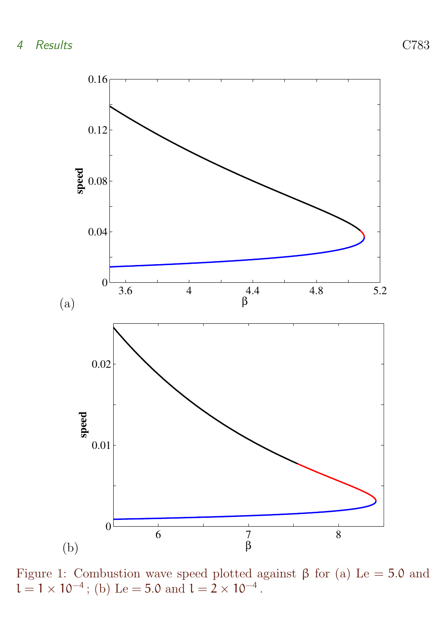

<span id="page-10-0"></span>Figure 1: Combustion wave speed plotted against  $\beta$  for (a) Le = 5.0 and  $l = 1 \times 10^{-4}$ ; (b) Le = 5.0 and  $l = 2 \times 10^{-4}$ .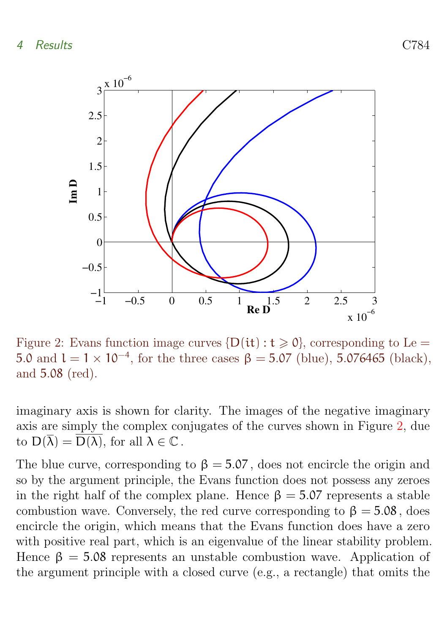

<span id="page-11-0"></span>Figure 2: Evans function image curves  $\{D(it): t \ge 0\}$ , corresponding to Le 5.0 and  $l = 1 \times 10^{-4}$ , for the three cases β = 5.07 (blue), 5.076465 (black), and 5.08 (red).

imaginary axis is shown for clarity. The images of the negative imaginary axis are simply the complex conjugates of the curves shown in Figure [2,](#page-11-0) due to  $D(\overline{\lambda}) = \overline{D(\lambda)}$ , for all  $\lambda \in \mathbb{C}$ .

The blue curve, corresponding to  $\beta = 5.07$ , does not encircle the origin and so by the argument principle, the Evans function does not possess any zeroes in the right half of the complex plane. Hence  $\beta = 5.07$  represents a stable combustion wave. Conversely, the red curve corresponding to  $\beta = 5.08$ , does encircle the origin, which means that the Evans function does have a zero with positive real part, which is an eigenvalue of the linear stability problem. Hence  $\beta = 5.08$  represents an unstable combustion wave. Application of the argument principle with a closed curve (e.g., a rectangle) that omits the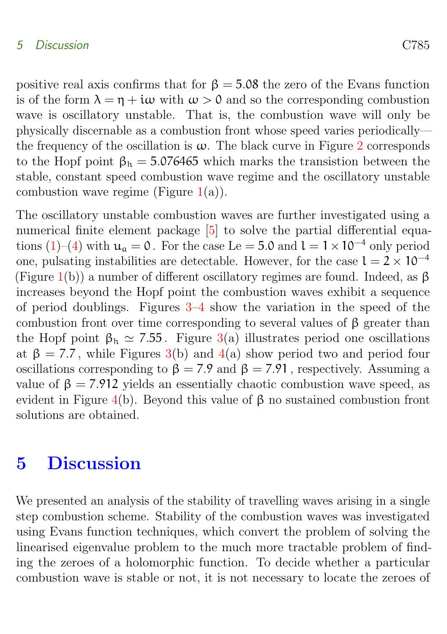#### <span id="page-12-1"></span>5 Discussion C785

positive real axis confirms that for  $\beta = 5.08$  the zero of the Evans function is of the form  $\lambda = \eta + i\omega$  with  $\omega > 0$  and so the corresponding combustion wave is oscillatory unstable. That is, the combustion wave will only be physically discernable as a combustion front whose speed varies periodically the frequency of the oscillation is  $\omega$ . The black curve in Figure [2](#page-11-0) corresponds to the Hopf point  $\beta_h = 5.076465$  which marks the transistion between the stable, constant speed combustion wave regime and the oscillatory unstable combustion wave regime (Figure  $1(a)$  $1(a)$ ).

The oscillatory unstable combustion waves are further investigated using a numerical finite element package [\[5\]](#page-16-9) to solve the partial differential equa-tions [\(1\)](#page-3-0)–[\(4\)](#page-3-0) with  $u_a = 0$ . For the case Le = 5.0 and l = 1 × 10<sup>-4</sup> only period one, pulsating instabilities are detectable. However, for the case  $l = 2 \times 10^{-4}$ (Figure [1\(](#page-10-0)b)) a number of different oscillatory regimes are found. Indeed, as  $\beta$ increases beyond the Hopf point the combustion waves exhibit a sequence of period doublings. Figures [3](#page-13-0)[–4](#page-14-0) show the variation in the speed of the combustion front over time corresponding to several values of β greater than the Hopf point  $\beta_h \simeq 7.55$ . Figure [3\(](#page-13-0)a) illustrates period one oscillations at  $\beta = 7.7$ , while Figures [3\(](#page-13-0)b) and [4\(](#page-14-0)a) show period two and period four oscillations corresponding to  $\beta = 7.9$  and  $\beta = 7.91$ , respectively. Assuming a value of  $\beta = 7.912$  yields an essentially chaotic combustion wave speed, as evident in Figure [4\(](#page-14-0)b). Beyond this value of  $\beta$  no sustained combustion front solutions are obtained.

# <span id="page-12-0"></span>5 Discussion

We presented an analysis of the stability of travelling waves arising in a single step combustion scheme. Stability of the combustion waves was investigated using Evans function techniques, which convert the problem of solving the linearised eigenvalue problem to the much more tractable problem of finding the zeroes of a holomorphic function. To decide whether a particular combustion wave is stable or not, it is not necessary to locate the zeroes of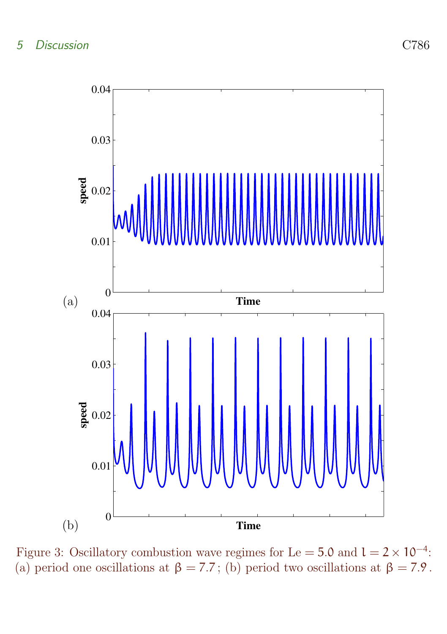

<span id="page-13-0"></span>Figure 3: Oscillatory combustion wave regimes for Le = 5.0 and  $l = 2 \times 10^{-4}$ . (a) period one oscillations at  $\beta = 7.7$ ; (b) period two oscillations at  $\beta = 7.9$ .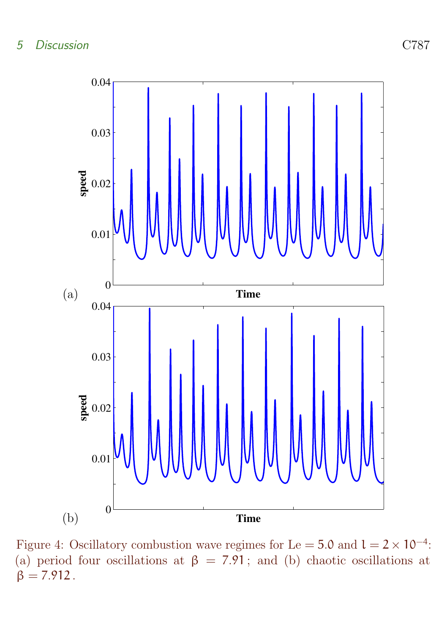

<span id="page-14-0"></span>Figure 4: Oscillatory combustion wave regimes for Le = 5.0 and  $l = 2 \times 10^{-4}$ . (a) period four oscillations at  $\beta = 7.91$ ; and (b) chaotic oscillations at  $\beta = 7.912$ .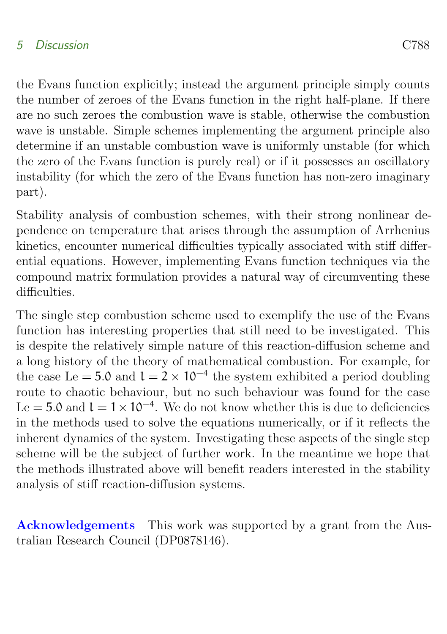### 5 Discussion C788

the Evans function explicitly; instead the argument principle simply counts the number of zeroes of the Evans function in the right half-plane. If there are no such zeroes the combustion wave is stable, otherwise the combustion wave is unstable. Simple schemes implementing the argument principle also determine if an unstable combustion wave is uniformly unstable (for which the zero of the Evans function is purely real) or if it possesses an oscillatory instability (for which the zero of the Evans function has non-zero imaginary part).

Stability analysis of combustion schemes, with their strong nonlinear dependence on temperature that arises through the assumption of Arrhenius kinetics, encounter numerical difficulties typically associated with stiff differential equations. However, implementing Evans function techniques via the compound matrix formulation provides a natural way of circumventing these difficulties.

The single step combustion scheme used to exemplify the use of the Evans function has interesting properties that still need to be investigated. This is despite the relatively simple nature of this reaction-diffusion scheme and a long history of the theory of mathematical combustion. For example, for the case Le = 5.0 and  $l = 2 \times 10^{-4}$  the system exhibited a period doubling route to chaotic behaviour, but no such behaviour was found for the case Le = 5.0 and  $l = 1 \times 10^{-4}$ . We do not know whether this is due to deficiencies in the methods used to solve the equations numerically, or if it reflects the inherent dynamics of the system. Investigating these aspects of the single step scheme will be the subject of further work. In the meantime we hope that the methods illustrated above will benefit readers interested in the stability analysis of stiff reaction-diffusion systems.

Acknowledgements This work was supported by a grant from the Australian Research Council (DP0878146).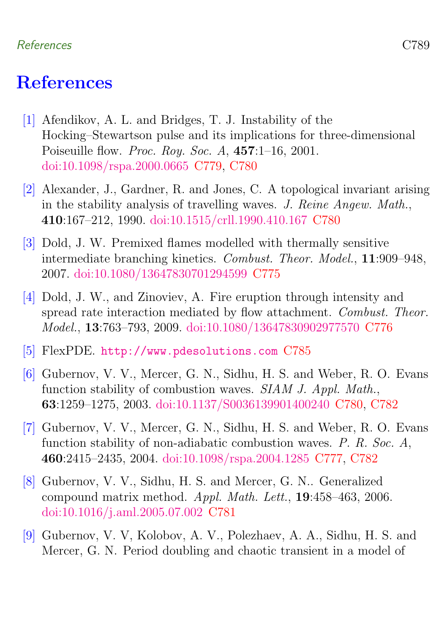### References C789

# <span id="page-16-0"></span>References

- <span id="page-16-5"></span>[1] Afendikov, A. L. and Bridges, T. J. Instability of the Hocking–Stewartson pulse and its implications for three-dimensional Poiseuille flow. Proc. Roy. Soc. A, 457:1–16, 2001. [doi:10.1098/rspa.2000.0665](http://dx.doi.org/10.1098/rspa.2000.0665) [C779,](#page-6-2) [C780](#page-7-2)
- <span id="page-16-6"></span>[2] Alexander, J., Gardner, R. and Jones, C. A topological invariant arising in the stability analysis of travelling waves. J. Reine Angew. Math., 410:167–212, 1990. [doi:10.1515/crll.1990.410.167](http://dx.doi.org/10.1515/crll.1990.410.167) [C780](#page-7-2)
- <span id="page-16-1"></span>[3] Dold, J. W. Premixed flames modelled with thermally sensitive intermediate branching kinetics. Combust. Theor. Model., 11:909–948, 2007. [doi:10.1080/13647830701294599](http://dx.doi.org/10.1080/13647830701294599) [C775](#page-2-0)
- <span id="page-16-2"></span>[4] Dold, J. W., and Zinoviev, A. Fire eruption through intensity and spread rate interaction mediated by flow attachment. Combust. Theor. Model., 13:763–793, 2009. [doi:10.1080/13647830902977570](http://dx.doi.org/10.1080/13647830902977570) [C776](#page-3-1)
- <span id="page-16-9"></span>[5] FlexPDE. <http://www.pdesolutions.com> [C785](#page-12-1)
- <span id="page-16-7"></span>[6] Gubernov, V. V., Mercer, G. N., Sidhu, H. S. and Weber, R. O. Evans function stability of combustion waves. SIAM J. Appl. Math., 63:1259–1275, 2003. [doi:10.1137/S0036139901400240](http://dx.doi.org/10.1137/S0036139901400240) [C780,](#page-7-2) [C782](#page-9-3)
- <span id="page-16-4"></span>[7] Gubernov, V. V., Mercer, G. N., Sidhu, H. S. and Weber, R. O. Evans function stability of non-adiabatic combustion waves. P. R. Soc. A, 460:2415–2435, 2004. [doi:10.1098/rspa.2004.1285](http://dx.doi.org/10.1098/rspa.2004.1285) [C777,](#page-4-0) [C782](#page-9-3)
- <span id="page-16-8"></span>[8] Gubernov, V. V., Sidhu, H. S. and Mercer, G. N.. Generalized compound matrix method. Appl. Math. Lett., 19:458–463, 2006. [doi:10.1016/j.aml.2005.07.002](http://dx.doi.org/10.1016/j.aml.2005.07.002) [C781](#page-8-2)
- <span id="page-16-3"></span>[9] Gubernov, V. V, Kolobov, A. V., Polezhaev, A. A., Sidhu, H. S. and Mercer, G. N. Period doubling and chaotic transient in a model of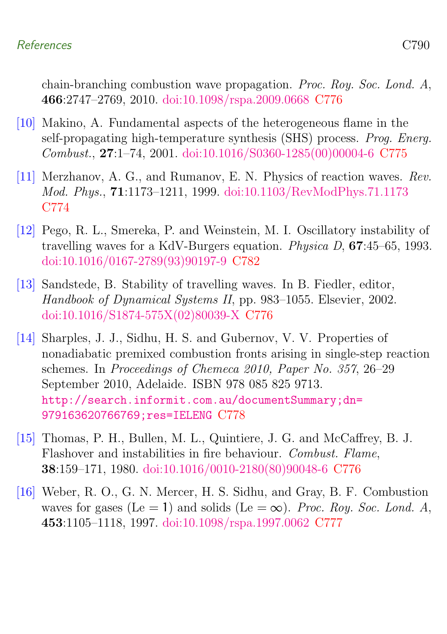### References  $C790$

chain-branching combustion wave propagation. Proc. Roy. Soc. Lond. A, 466:2747–2769, 2010. [doi:10.1098/rspa.2009.0668](http://dx.doi.org/10.1098/rspa.2009.0668) [C776](#page-3-1)

- <span id="page-17-1"></span>[10] Makino, A. Fundamental aspects of the heterogeneous flame in the self-propagating high-temperature synthesis (SHS) process. Prog. Energ. Combust., 27:1–74, 2001. [doi:10.1016/S0360-1285\(00\)00004-6](http://dx.doi.org/10.1016/S0360-1285(00)00004-6) [C775](#page-2-0)
- <span id="page-17-0"></span>[11] Merzhanov, A. G., and Rumanov, E. N. Physics of reaction waves. Rev. Mod. Phys., 71:1173–1211, 1999. [doi:10.1103/RevModPhys.71.1173](http://dx.doi.org/10.1103/RevModPhys.71.1173) [C774](#page-1-1)
- <span id="page-17-6"></span>[12] Pego, R. L., Smereka, P. and Weinstein, M. I. Oscillatory instability of travelling waves for a KdV-Burgers equation. Physica D, 67:45–65, 1993. [doi:10.1016/0167-2789\(93\)90197-9](http://dx.doi.org/10.1016/0167-2789(93)90197-9) [C782](#page-9-3)
- <span id="page-17-3"></span>[13] Sandstede, B. Stability of travelling waves. In B. Fiedler, editor, Handbook of Dynamical Systems II, pp. 983–1055. Elsevier, 2002. [doi:10.1016/S1874-575X\(02\)80039-X](http://dx.doi.org/10.1016/S1874-575X(02)80039-X) [C776](#page-3-1)
- <span id="page-17-5"></span>[14] Sharples, J. J., Sidhu, H. S. and Gubernov, V. V. Properties of nonadiabatic premixed combustion fronts arising in single-step reaction schemes. In Proceedings of Chemeca 2010, Paper No. 357, 26–29 September 2010, Adelaide. ISBN 978 085 825 9713. [http://search.informit.com.au/documentSummary;dn=](http://search.informit.com.au/documentSummary;dn=979163620766769;res=IELENG) [979163620766769;res=IELENG](http://search.informit.com.au/documentSummary;dn=979163620766769;res=IELENG) [C778](#page-5-3)
- <span id="page-17-2"></span>[15] Thomas, P. H., Bullen, M. L., Quintiere, J. G. and McCaffrey, B. J. Flashover and instabilities in fire behaviour. Combust. Flame, 38:159–171, 1980. [doi:10.1016/0010-2180\(80\)90048-6](http://dx.doi.org/10.1016/0010-2180(80)90048-6) [C776](#page-3-1)
- <span id="page-17-4"></span>[16] Weber, R. O., G. N. Mercer, H. S. Sidhu, and Gray, B. F. Combustion waves for gases (Le = 1) and solids (Le =  $\infty$ ). Proc. Roy. Soc. Lond. A, 453:1105–1118, 1997. [doi:10.1098/rspa.1997.0062](http://dx.doi.org/10.1098/rspa.1997.0062) [C777](#page-4-0)